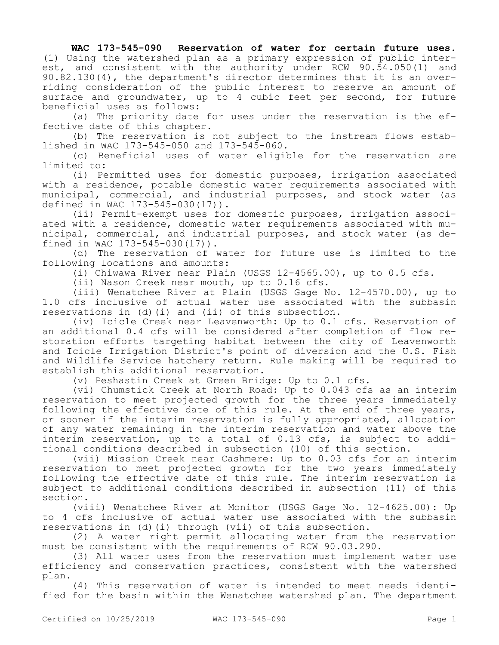## **WAC 173-545-090 Reservation of water for certain future uses.**

(1) Using the watershed plan as a primary expression of public interest, and consistent with the authority under RCW 90.54.050(1) and 90.82.130(4), the department's director determines that it is an overriding consideration of the public interest to reserve an amount of surface and groundwater, up to 4 cubic feet per second, for future beneficial uses as follows:

(a) The priority date for uses under the reservation is the effective date of this chapter.

(b) The reservation is not subject to the instream flows established in WAC 173-545-050 and 173-545-060.

(c) Beneficial uses of water eligible for the reservation are limited to:

(i) Permitted uses for domestic purposes, irrigation associated with a residence, potable domestic water requirements associated with municipal, commercial, and industrial purposes, and stock water (as defined in WAC 173-545-030(17)).

(ii) Permit-exempt uses for domestic purposes, irrigation associated with a residence, domestic water requirements associated with municipal, commercial, and industrial purposes, and stock water (as defined in WAC 173-545-030(17)).

(d) The reservation of water for future use is limited to the following locations and amounts:

(i) Chiwawa River near Plain (USGS 12-4565.00), up to 0.5 cfs.

(ii) Nason Creek near mouth, up to 0.16 cfs.

(iii) Wenatchee River at Plain (USGS Gage No. 12-4570.00), up to 1.0 cfs inclusive of actual water use associated with the subbasin reservations in (d)(i) and (ii) of this subsection.

(iv) Icicle Creek near Leavenworth: Up to 0.1 cfs. Reservation of an additional 0.4 cfs will be considered after completion of flow restoration efforts targeting habitat between the city of Leavenworth and Icicle Irrigation District's point of diversion and the U.S. Fish and Wildlife Service hatchery return. Rule making will be required to establish this additional reservation.

(v) Peshastin Creek at Green Bridge: Up to 0.1 cfs.

(vi) Chumstick Creek at North Road: Up to 0.043 cfs as an interim reservation to meet projected growth for the three years immediately following the effective date of this rule. At the end of three years, or sooner if the interim reservation is fully appropriated, allocation of any water remaining in the interim reservation and water above the interim reservation, up to a total of 0.13 cfs, is subject to additional conditions described in subsection (10) of this section.

(vii) Mission Creek near Cashmere: Up to 0.03 cfs for an interim reservation to meet projected growth for the two years immediately following the effective date of this rule. The interim reservation is subject to additional conditions described in subsection (11) of this section.

(viii) Wenatchee River at Monitor (USGS Gage No. 12-4625.00): Up to 4 cfs inclusive of actual water use associated with the subbasin reservations in (d)(i) through (vii) of this subsection.

(2) A water right permit allocating water from the reservation must be consistent with the requirements of RCW 90.03.290.

(3) All water uses from the reservation must implement water use efficiency and conservation practices, consistent with the watershed plan.

(4) This reservation of water is intended to meet needs identified for the basin within the Wenatchee watershed plan. The department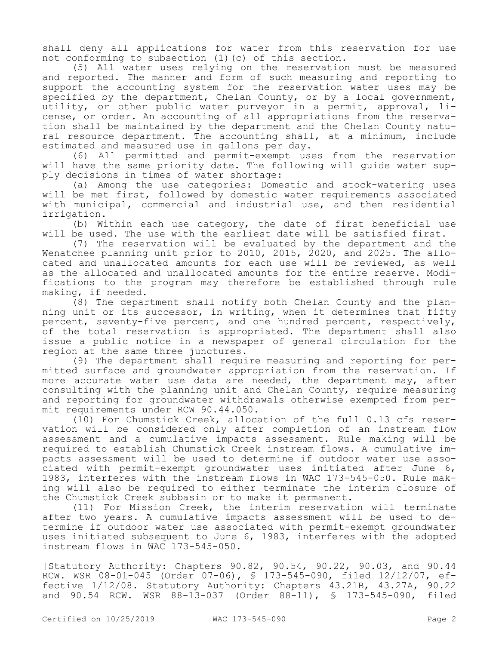shall deny all applications for water from this reservation for use not conforming to subsection (1)(c) of this section.

(5) All water uses relying on the reservation must be measured and reported. The manner and form of such measuring and reporting to support the accounting system for the reservation water uses may be specified by the department, Chelan County, or by a local government, utility, or other public water purveyor in a permit, approval, license, or order. An accounting of all appropriations from the reservation shall be maintained by the department and the Chelan County natural resource department. The accounting shall, at a minimum, include estimated and measured use in gallons per day.

(6) All permitted and permit-exempt uses from the reservation will have the same priority date. The following will guide water supply decisions in times of water shortage:

(a) Among the use categories: Domestic and stock-watering uses will be met first, followed by domestic water requirements associated with municipal, commercial and industrial use, and then residential irrigation.

(b) Within each use category, the date of first beneficial use will be used. The use with the earliest date will be satisfied first.

(7) The reservation will be evaluated by the department and the Wenatchee planning unit prior to 2010, 2015, 2020, and 2025. The allocated and unallocated amounts for each use will be reviewed, as well as the allocated and unallocated amounts for the entire reserve. Modifications to the program may therefore be established through rule making, if needed.

(8) The department shall notify both Chelan County and the planning unit or its successor, in writing, when it determines that fifty percent, seventy-five percent, and one hundred percent, respectively, of the total reservation is appropriated. The department shall also issue a public notice in a newspaper of general circulation for the region at the same three junctures.

(9) The department shall require measuring and reporting for permitted surface and groundwater appropriation from the reservation. If more accurate water use data are needed, the department may, after consulting with the planning unit and Chelan County, require measuring and reporting for groundwater withdrawals otherwise exempted from permit requirements under RCW 90.44.050.

(10) For Chumstick Creek, allocation of the full 0.13 cfs reservation will be considered only after completion of an instream flow assessment and a cumulative impacts assessment. Rule making will be required to establish Chumstick Creek instream flows. A cumulative impacts assessment will be used to determine if outdoor water use associated with permit-exempt groundwater uses initiated after June 6, 1983, interferes with the instream flows in WAC 173-545-050. Rule making will also be required to either terminate the interim closure of the Chumstick Creek subbasin or to make it permanent.

(11) For Mission Creek, the interim reservation will terminate after two years. A cumulative impacts assessment will be used to determine if outdoor water use associated with permit-exempt groundwater uses initiated subsequent to June 6, 1983, interferes with the adopted instream flows in WAC 173-545-050.

[Statutory Authority: Chapters 90.82, 90.54, 90.22, 90.03, and 90.44 RCW. WSR 08-01-045 (Order 07-06), § 173-545-090, filed 12/12/07, effective 1/12/08. Statutory Authority: Chapters 43.21B, 43.27A, 90.22 and 90.54 RCW. WSR 88-13-037 (Order 88-11), § 173-545-090, filed